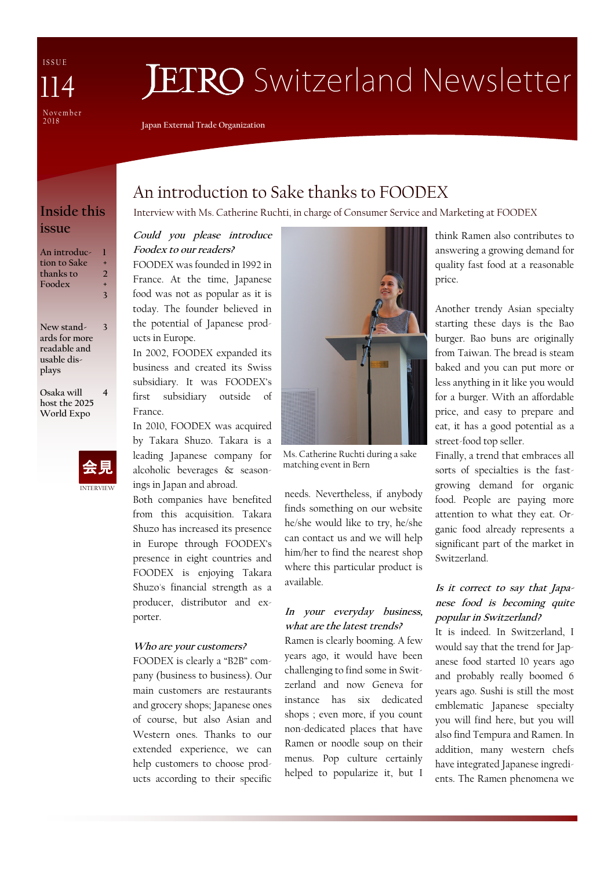I S S U E N o v e m b e r 2 0 1 8 114

# **JETRO** Switzerland Newsletter

**Japan External Trade Organization**

## **issue**

| An introduc- | ۰ |
|--------------|---|
| tion to Sake | 2 |
| thanks to    | ٠ |
| Foodex       | 3 |
| New stand-   |   |

**ards for more readable and usable displays**

**Osaka will host the 2025 World Expo 4**



## An introduction to Sake thanks to FOODEX

**Inside this** Interview with Ms. Catherine Ruchti, in charge of Consumer Service and Marketing at FOODEX

#### **Could you please introduce Foodex to our readers?**

FOODEX was founded in 1992 in France. At the time, Japanese food was not as popular as it is today. The founder believed in the potential of Japanese products in Europe.

In 2002, FOODEX expanded its business and created its Swiss subsidiary. It was FOODEX's first subsidiary outside of France.

In 2010, FOODEX was acquired by Takara Shuzo. Takara is a leading Japanese company for alcoholic beverages & seasonings in Japan and abroad.

Both companies have benefited from this acquisition. Takara Shuzo has increased its presence in Europe through FOODEX's presence in eight countries and FOODEX is enjoying Takara Shuzo's financial strength as a producer, distributor and exporter.

#### **Who are your customers?**

FOODEX is clearly a "B2B" company (business to business). Our main customers are restaurants and grocery shops; Japanese ones of course, but also Asian and Western ones. Thanks to our extended experience, we can help customers to choose products according to their specific



Ms. Catherine Ruchti during a sake matching event in Bern

needs. Nevertheless, if anybody finds something on our website he/she would like to try, he/she can contact us and we will help him/her to find the nearest shop where this particular product is available.

#### **In your everyday business, what are the latest trends?**

Ramen is clearly booming. A few years ago, it would have been challenging to find some in Switzerland and now Geneva for instance has six dedicated shops ; even more, if you count non-dedicated places that have Ramen or noodle soup on their menus. Pop culture certainly helped to popularize it, but I

think Ramen also contributes to answering a growing demand for quality fast food at a reasonable price.

Another trendy Asian specialty starting these days is the Bao burger. Bao buns are originally from Taiwan. The bread is steam baked and you can put more or less anything in it like you would for a burger. With an affordable price, and easy to prepare and eat, it has a good potential as a street-food top seller.

Finally, a trend that embraces all sorts of specialties is the fastgrowing demand for organic food. People are paying more attention to what they eat. Organic food already represents a significant part of the market in Switzerland.

#### **Is it correct to say that Japanese food is becoming quite popular in Switzerland?**

It is indeed. In Switzerland, I would say that the trend for Japanese food started 10 years ago and probably really boomed 6 years ago. Sushi is still the most emblematic Japanese specialty you will find here, but you will also find Tempura and Ramen. In addition, many western chefs have integrated Japanese ingredients. The Ramen phenomena we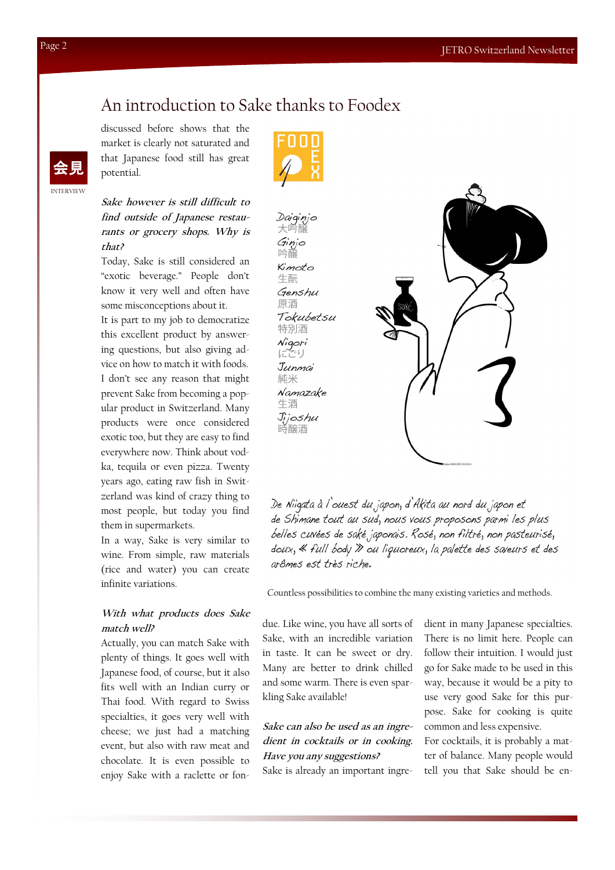### An introduction to Sake thanks to Foodex

discussed before shows that the market is clearly not saturated and that Japanese food still has great potential.



**Sake however is still difficult to find outside of Japanese restaurants or grocery shops. Why is that?**

Today, Sake is still considered an "exotic beverage." People don't know it very well and often have some misconceptions about it.

It is part to my job to democratize this excellent product by answering questions, but also giving advice on how to match it with foods. I don't see any reason that might prevent Sake from becoming a popular product in Switzerland. Many products were once considered exotic too, but they are easy to find everywhere now. Think about vodka, tequila or even pizza. Twenty years ago, eating raw fish in Switzerland was kind of crazy thing to most people, but today you find them in supermarkets.

In a way, Sake is very similar to wine. From simple, raw materials (rice and water) you can create infinite variations.

#### **With what products does Sake match well?**

Actually, you can match Sake with plenty of things. It goes well with Japanese food, of course, but it also fits well with an Indian curry or Thai food. With regard to Swiss specialties, it goes very well with cheese; we just had a matching event, but also with raw meat and chocolate. It is even possible to enjoy Sake with a raclette or fon-



Daiginjo 大吟 Ginjo 吟醸 Kimoto 牛酛 Genshu 原酒 Tokubetsu 特別酒 Nigori<br>|ECU Junmai 純米 Namazake 生洒 Jijoshu 時醸酒



De Niigata à l'ouest du japon, d'Akita au nord du japon et de Shimane tout au sud, nous vous proposons parmi les plus belles cuvées de saké japonais. Rosé, non filtré, non pasteurisé, doux, « full body » ou liquoreux, la palette des saveurs et des arômes est très riche.

Countless possibilities to combine the many existing varieties and methods.

due. Like wine, you have all sorts of Sake, with an incredible variation in taste. It can be sweet or dry. Many are better to drink chilled and some warm. There is even sparkling Sake available!

#### **Sake can also be used as an ingredient in cocktails or in cooking. Have you any suggestions?**

Sake is already an important ingre-

dient in many Japanese specialties. There is no limit here. People can follow their intuition. I would just go for Sake made to be used in this way, because it would be a pity to use very good Sake for this purpose. Sake for cooking is quite common and less expensive.

For cocktails, it is probably a matter of balance. Many people would tell you that Sake should be en-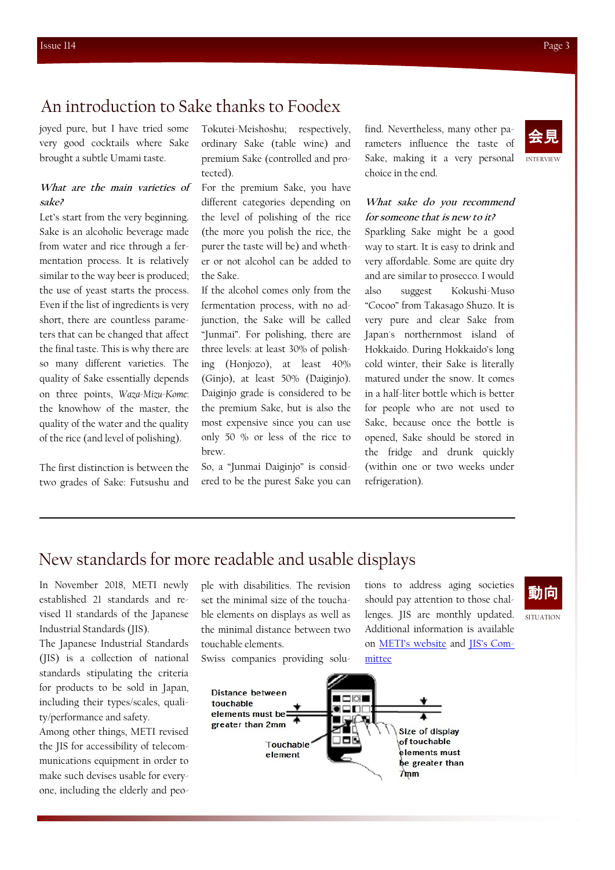## An introduction to Sake thanks to Foodex

joyed pure, but I have tried some very good cocktails where Sake brought a subtle Umami taste.

#### **What are the main varieties of sake?**

Let's start from the very beginning. Sake is an alcoholic beverage made from water and rice through a fermentation process. It is relatively similar to the way beer is produced; the use of yeast starts the process. Even if the list of ingredients is very short, there are countless parameters that can be changed that affect the final taste. This is why there are so many different varieties. The quality of Sake essentially depends on three points, *Waza-Mizu-Kome*: the knowhow of the master, the quality of the water and the quality of the rice (and level of polishing).

The first distinction is between the two grades of Sake: Futsushu and

Tokutei-Meishoshu; respectively, ordinary Sake (table wine) and premium Sake (controlled and protected).

For the premium Sake, you have different categories depending on the level of polishing of the rice (the more you polish the rice, the purer the taste will be) and whether or not alcohol can be added to the Sake.

If the alcohol comes only from the fermentation process, with no adjunction, the Sake will be called "Junmai". For polishing, there are three levels: at least 30% of polishing (Honjozo), at least 40% (Ginjo), at least 50% (Daiginjo). Daiginjo grade is considered to be the premium Sake, but is also the most expensive since you can use only 50 % or less of the rice to brew.

So, a "Junmai Daiginjo" is considered to be the purest Sake you can find. Nevertheless, many other parameters influence the taste of Sake, making it a very personal choice in the end.

#### **What sake do you recommend for someone that is new to it?**

Sparkling Sake might be a good way to start. It is easy to drink and very affordable. Some are quite dry and are similar to prosecco. I would also suggest Kokushi-Muso "Cocoo" from Takasago Shuzo. It is very pure and clear Sake from Japan's northernmost island of Hokkaido. During Hokkaido's long cold winter, their Sake is literally matured under the snow. It comes in a half-liter bottle which is better for people who are not used to Sake, because once the bottle is opened, Sake should be stored in the fridge and drunk quickly (within one or two weeks under refrigeration).

### New standards for more readable and usable displays

In November 2018, METI newly established 21 standards and revised 11 standards of the Japanese Industrial Standards (JIS).

The Japanese Industrial Standards (JIS) is a collection of national standards stipulating the criteria for products to be sold in Japan, including their types/scales, quality/performance and safety.

Among other things, METI revised the JIS for accessibility of telecommunications equipment in order to make such devises usable for everyone, including the elderly and people with disabilities. The revision set the minimal size of the touchable elements on displays as well as the minimal distance between two touchable elements.

Swiss companies providing solu-

tions to address aging societies should pay attention to those challenges. JIS are monthly updated. Additional information is available on [METI's website](http://www.meti.go.jp/english/press/2018/1120_004.html) and [JIS's Com](http://www.jisc.go.jp/eng/index.html)[mittee](http://www.jisc.go.jp/eng/index.html)

## 動向

**SITUATION**